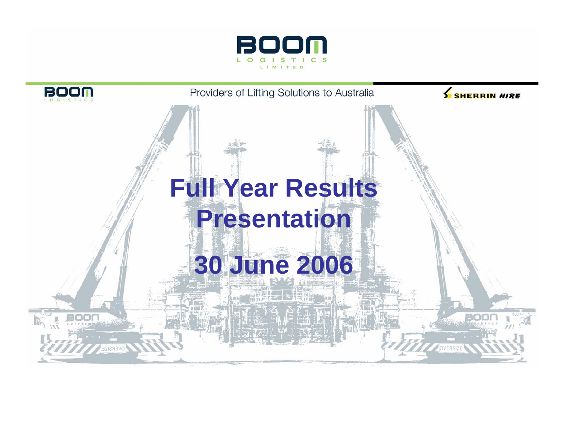

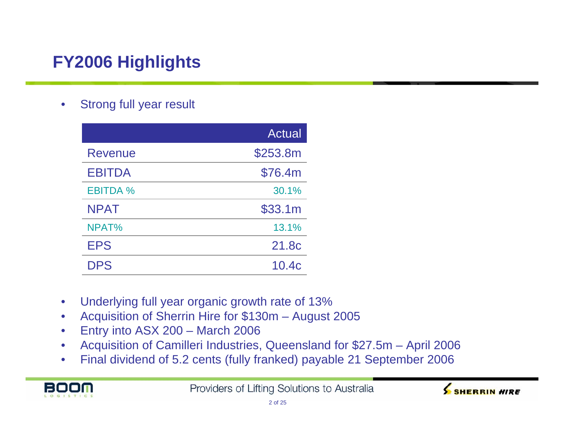# **FY2006 Highlights**

 $\bullet$ Strong full year result

|                 | <b>Actual</b> |
|-----------------|---------------|
| Revenue         | \$253.8m      |
| <b>EBITDA</b>   | \$76.4m       |
| <b>EBITDA %</b> | 30.1%         |
| <b>NPAT</b>     | \$33.1m       |
| NPAT%           | 13.1%         |
| <b>EPS</b>      | 21.8c         |
| <b>DPS</b>      | 10.4c         |

- $\bullet$ Underlying full year organic growth rate of 13%
- $\bullet$ Acquisition of Sherrin Hire for \$130m – August 2005
- $\bullet$ Entry into ASX 200 – March 2006
- $\bullet$ Acquisition of Camilleri Industries, Queensland for \$27.5m – April 2006
- $\bullet$ Final dividend of 5.2 cents (fully franked) payable 21 September 2006



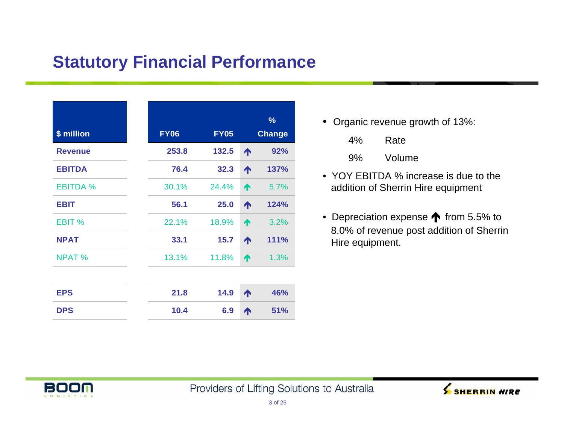# **Statutory Financial Performance**

| \$ million      | <b>FY06</b> | <b>FY05</b> |   | $\frac{9}{6}$<br><b>Change</b> |
|-----------------|-------------|-------------|---|--------------------------------|
| <b>Revenue</b>  | 253.8       | 132.5       | ↑ | 92%                            |
| <b>EBITDA</b>   | 76.4        | 32.3        | ₳ | 137%                           |
| <b>EBITDA %</b> | 30.1%       | 24.4%       | ↑ | 5.7%                           |
| <b>EBIT</b>     | 56.1        | 25.0        | ↑ | 124%                           |
| EBIT %          | 22.1%       | 18.9%       | ₳ | 3.2%                           |
| <b>NPAT</b>     | 33.1        | 15.7        | ₳ | 111%                           |
| <b>NPAT %</b>   | 13.1%       | 11.8%       | ∧ | 1.3%                           |
|                 |             |             |   |                                |
| <b>EPS</b>      | 21.8        | 14.9        | ₳ | 46%                            |
| <b>DPS</b>      | 10.4        | 6.9         | ↑ | 51%                            |

• Organic revenue growth of 13%:

- 9% Volume
- YOY EBITDA % increase is due to the addition of Sherrin Hire equipment
- Depreciation expense **t** from 5.5% to 8.0% of revenue post addition of Sherrin Hire equipment.



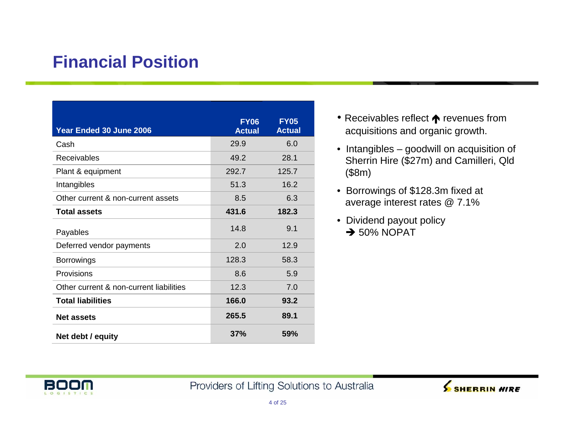# **Financial Position**

| Year Ended 30 June 2006                 | <b>FY06</b><br><b>Actual</b> | <b>FY05</b><br><b>Actual</b> |
|-----------------------------------------|------------------------------|------------------------------|
| Cash                                    | 29.9                         | 6.0                          |
| <b>Receivables</b>                      | 49.2                         | 28.1                         |
| Plant & equipment                       | 292.7                        | 125.7                        |
| Intangibles                             | 51.3                         | 16.2                         |
| Other current & non-current assets      | 8.5                          | 6.3                          |
| <b>Total assets</b>                     | 431.6                        | 182.3                        |
| Payables                                | 14.8                         | 9.1                          |
| Deferred vendor payments                | 2.0                          | 12.9                         |
| <b>Borrowings</b>                       | 128.3                        | 58.3                         |
| Provisions                              | 8.6                          | 5.9                          |
| Other current & non-current liabilities | 12.3                         | 7.0                          |
| <b>Total liabilities</b>                | 166.0                        | 93.2                         |
| <b>Net assets</b>                       | 265.5                        | 89.1                         |
| Net debt / equity                       | 37%                          | 59%                          |

- Receivables reflect  $\bigwedge$  revenues from acquisitions and organic growth.
- Intangibles goodwill on acquisition of Sherrin Hire (\$27m) and Camilleri, Qld (\$8m)
- Borrowings of \$128.3m fixed at average interest rates @ 7.1%
- Dividend payout policy  $\rightarrow$  50% NOPAT



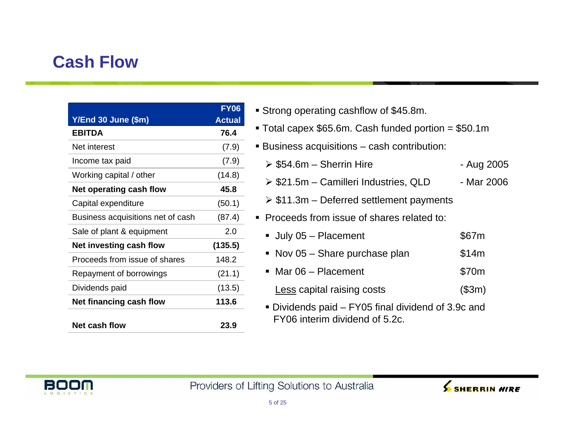# **Cash Flow**

|                                   | <b>FY06</b>   |
|-----------------------------------|---------------|
| Y/End 30 June (\$m)               | <b>Actual</b> |
| <b>EBITDA</b>                     | 76.4          |
| Net interest                      | (7.9)         |
| Income tax paid                   | (7.9)         |
| Working capital / other           | (14.8)        |
| Net operating cash flow           | 45.8          |
| Capital expenditure               | (50.1)        |
| Business acquisitions net of cash | (87.4)        |
| Sale of plant & equipment         | 2.0           |
| Net investing cash flow           | (135.5)       |
| Proceeds from issue of shares     | 148.2         |
| Repayment of borrowings           | (21.1)        |
| Dividends paid                    | (13.5)        |
| Net financing cash flow           | 113.6         |
| Net cash flow                     | 23.9          |

- Strong operating cashflow of \$45.8m.
- Total capex \$65.6m. Cash funded portion = \$50.1m
- Business acquisitions cash contribution:
	- → \$54.6m Sherrin Hire Aug 2005
	- $\triangleright$  \$21.5m Camilleri Industries, QLD Mar 2006
	- ¾ \$11.3m Deferred settlement payments
- **Proceeds from issue of shares related to:** 
	- July 05 Placement \$67m
	- Nov 05 Share purchase plan \$14m
	- Mar 06 Placement \$70m
	- Less capital raising costs (\$3m)
	- Dividends paid FY05 final dividend of 3.9c and FY06 interim dividend of 5.2c.



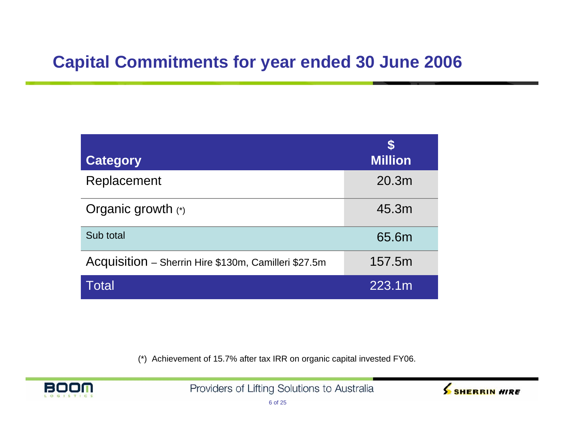# **Capital Commitments for year ended 30 June 2006**

| <b>Category</b>                                      | S<br><b>Million</b> |
|------------------------------------------------------|---------------------|
| Replacement                                          | 20.3 <sub>m</sub>   |
| Organic growth (*)                                   | 45.3m               |
| Sub total                                            | 65.6m               |
| Acquisition - Sherrin Hire \$130m, Camilleri \$27.5m | 157.5m              |
| Total                                                | 223.1m              |

(\*) Achievement of 15.7% after tax IRR on organic capital invested FY06.



Providers of Lifting Solutions to Australia

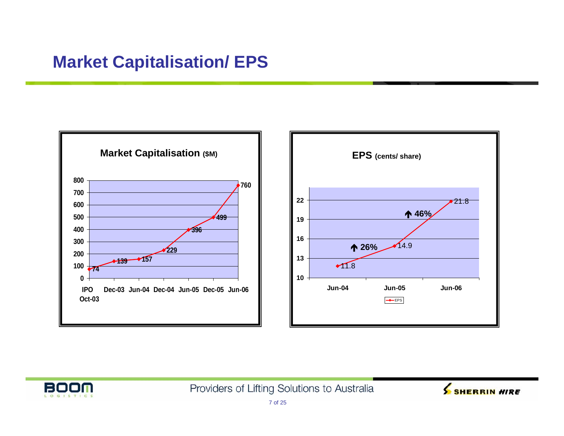# **Market Capitalisation/ EPS**





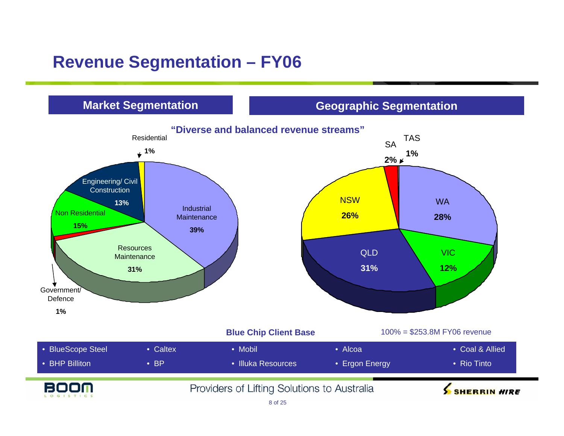# **Revenue Segmentation – FY06**

### **Market Segmentation**

### **Geographic Segmentation**

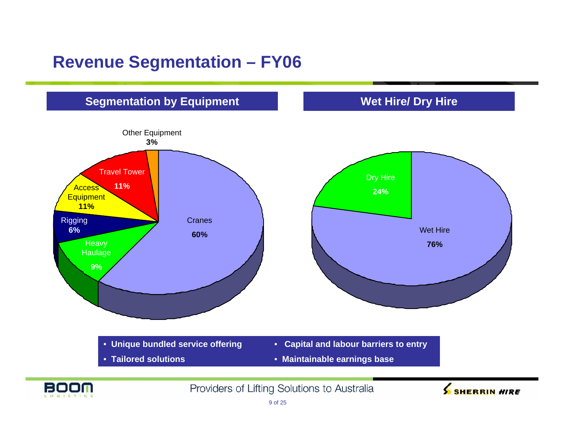## **Revenue Segmentation – FY06**



9 of 25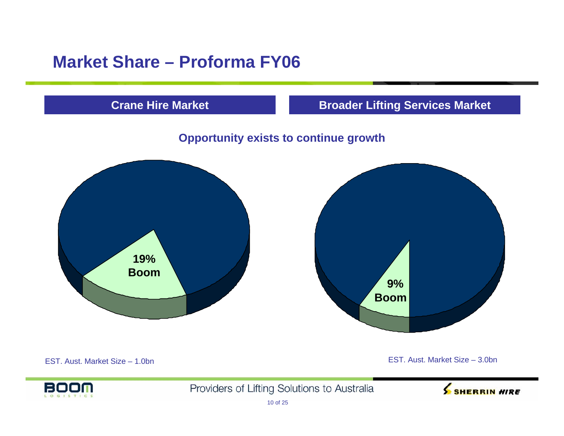# **Market Share – Proforma FY06**

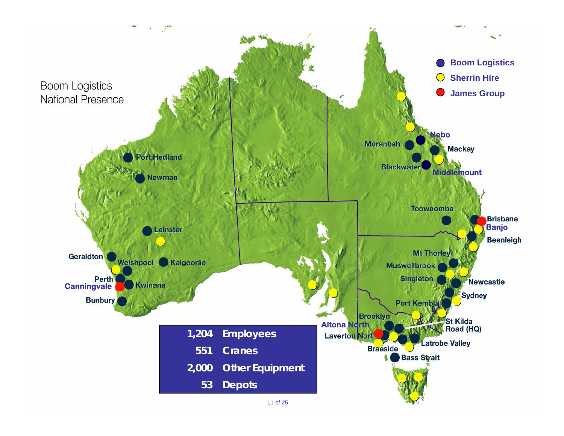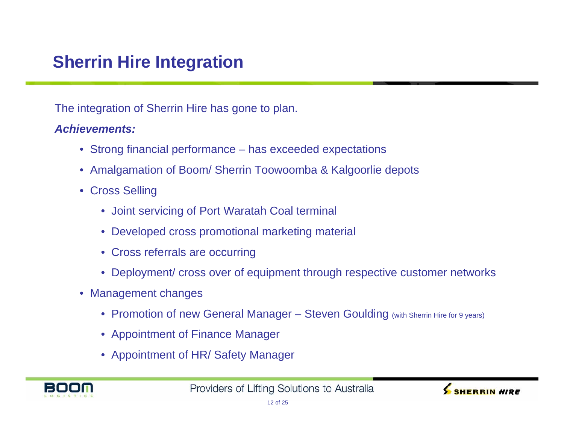# **Sherrin Hire Integration**

The integration of Sherrin Hire has gone to plan.

#### *Achievements:*

- Strong financial performance has exceeded expectations
- Amalgamation of Boom/ Sherrin Toowoomba & Kalgoorlie depots
- Cross Selling
	- Joint servicing of Port Waratah Coal terminal
	- Developed cross promotional marketing material
	- Cross referrals are occurring
	- Deployment/ cross over of equipment through respective customer networks
- Management changes
	- Promotion of new General Manager Steven Goulding (with Sherrin Hire for 9 years)
	- Appointment of Finance Manager
	- Appointment of HR/ Safety Manager



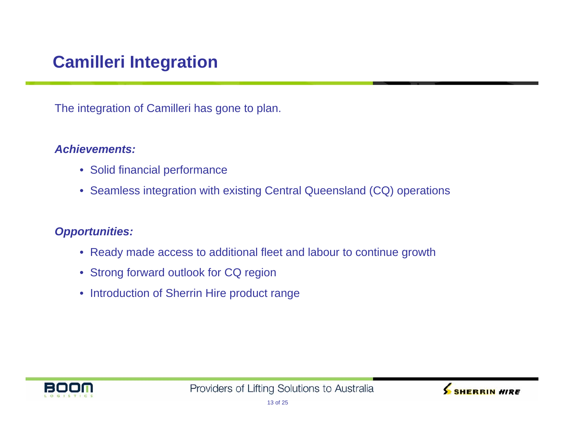# **Camilleri Integration**

The integration of Camilleri has gone to plan.

#### *Achievements:*

- Solid financial performance
- Seamless integration with existing Central Queensland (CQ) operations

### *Opportunities:*

- Ready made access to additional fleet and labour to continue growth
- Strong forward outlook for CQ region
- Introduction of Sherrin Hire product range



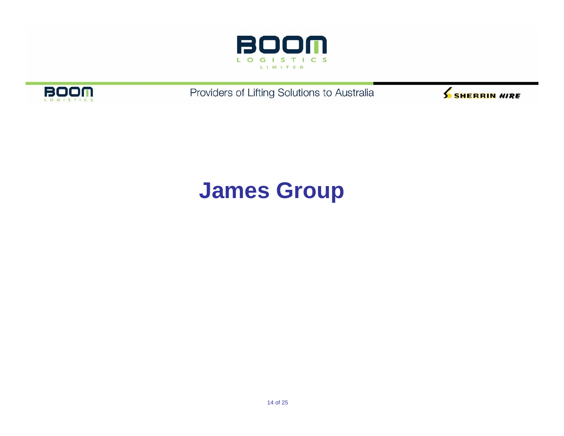



Providers of Lifting Solutions to Australia



# **James Group**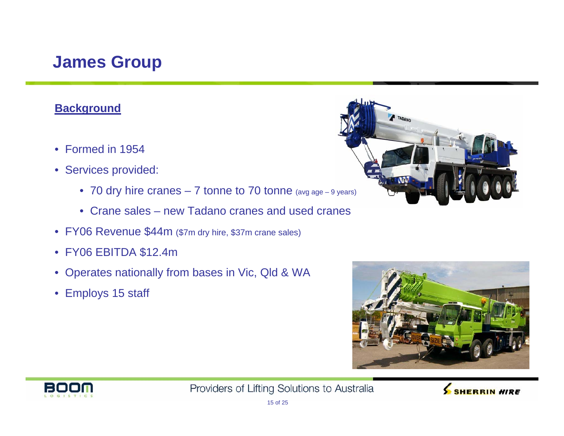#### **Background**

- Formed in 1954
- Services provided:
	- 70 dry hire cranes 7 tonne to 70 tonne (avg age 9 years)
	- Crane sales new Tadano cranes and used cranes
- FY06 Revenue \$44m (\$7m dry hire, \$37m crane sales)
- FY06 EBITDA \$12.4m
- Operates nationally from bases in Vic, Qld & WA
- Employs 15 staff







Providers of Lifting Solutions to Australia

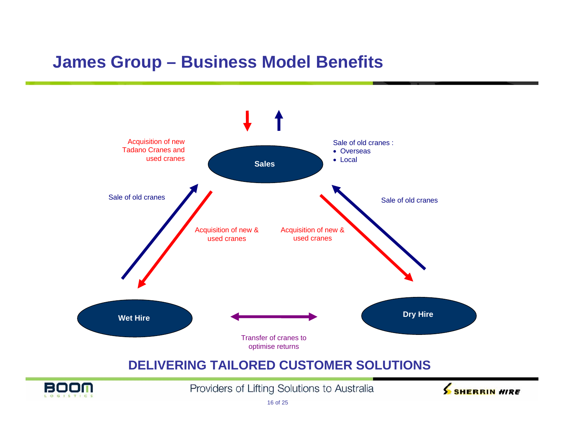### **James Group – Business Model Benefits**

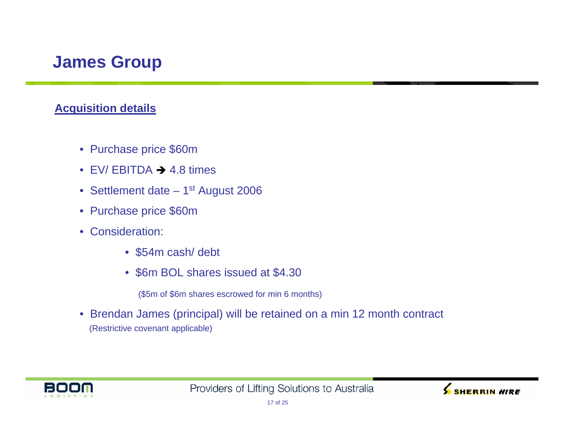### **Acquisition details**

- Purchase price \$60m
- EV/ EBITDA  $\rightarrow$  4.8 times
- Settlement date 1st August 2006
- Purchase price \$60m
- Consideration:
	- \$54m cash/ debt
	- \$6m BOL shares issued at \$4.30

(\$5m of \$6m shares escrowed for min 6 months)

• Brendan James (principal) will be retained on a min 12 month contract (Restrictive covenant applicable)



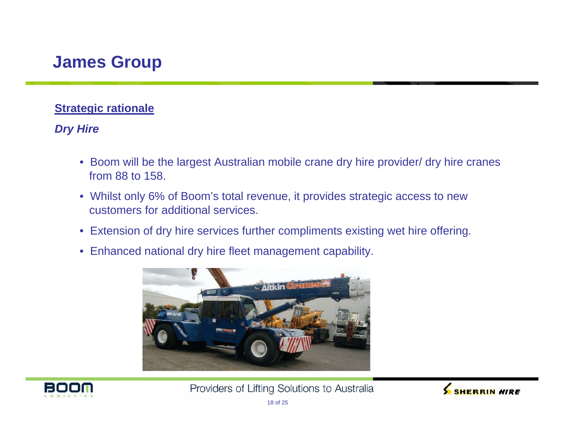### **Strategic rationale**

### *Dry Hire*

- Boom will be the largest Australian mobile crane dry hire provider/ dry hire cranes from 88 to 158.
- Whilst only 6% of Boom's total revenue, it provides strategic access to new customers for additional services.
- Extension of dry hire services further compliments existing wet hire offering.
- Enhanced national dry hire fleet management capability.





Providers of Lifting Solutions to Australia

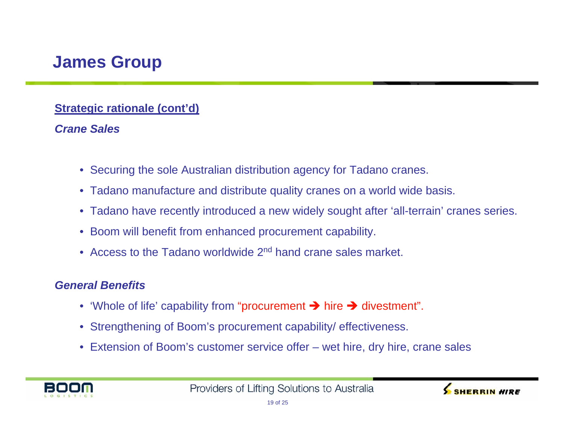### **Strategic rationale (cont'd)**

### *Crane Sales*

- Securing the sole Australian distribution agency for Tadano cranes.
- Tadano manufacture and distribute quality cranes on a world wide basis.
- Tadano have recently introduced a new widely sought after 'all-terrain' cranes series.
- Boom will benefit from enhanced procurement capability.
- Access to the Tadano worldwide 2<sup>nd</sup> hand crane sales market.

#### *General Benefits*

- 'Whole of life' capability from "procurement  $\rightarrow$  hire  $\rightarrow$  divestment".
- Strengthening of Boom's procurement capability/ effectiveness.
- Extension of Boom's customer service offer wet hire, dry hire, crane sales



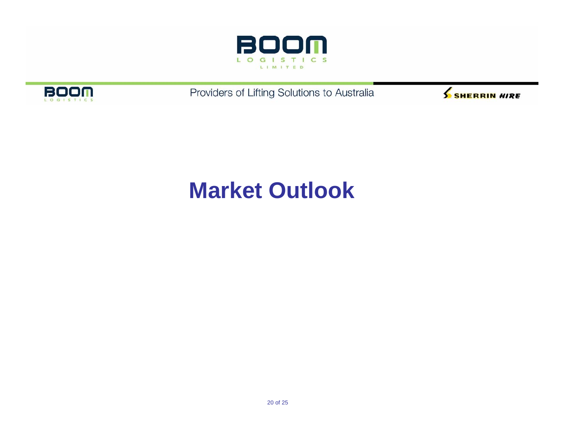



Providers of Lifting Solutions to Australia



# **Market Outlook**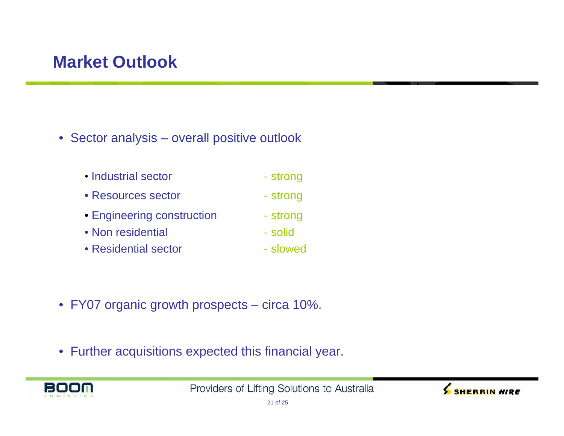# **Market Outlook**

- Sector analysis overall positive outlook
	- Industrial sector https://www.father.com/ • Resources sector - strong • Engineering construction - strong • Non residential - solid
	- Residential sector slowed
- FY07 organic growth prospects circa 10%.
- Further acquisitions expected this financial year.



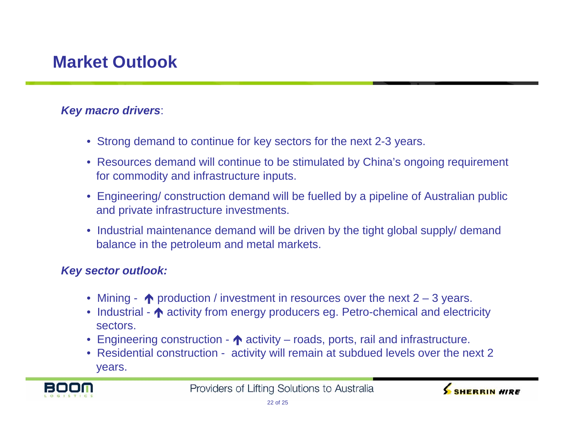# **Market Outlook**

#### *Key macro drivers*:

- Strong demand to continue for key sectors for the next 2-3 years.
- Resources demand will continue to be stimulated by China's ongoing requirement for commodity and infrastructure inputs.
- Engineering/ construction demand will be fuelled by a pipeline of Australian public and private infrastructure investments.
- Industrial maintenance demand will be driven by the tight global supply/ demand balance in the petroleum and metal markets.

#### *Key sector outlook:*

- Mining  $\bigwedge$  production / investment in resources over the next 2 3 years.
- Industrial  $\spadesuit$  activity from energy producers eg. Petro-chemical and electricity sectors.
- Engineering construction  $\bigwedge$  activity roads, ports, rail and infrastructure.
- Residential construction activity will remain at subdued levels over the next 2 years.



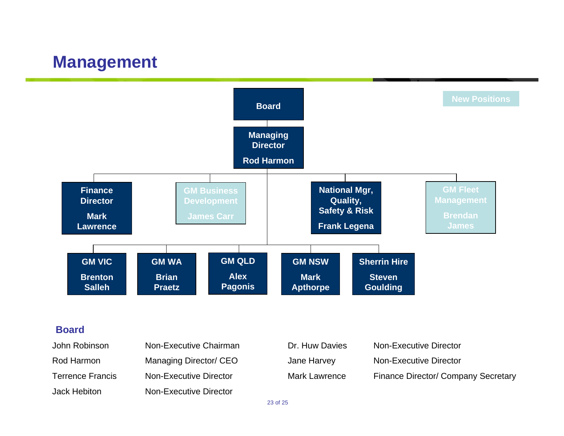### **Management**



#### **Board**

| John Robinson           | Non-Executive Chairman | Dr. Huw Davies       | Non-Executive Director                     |
|-------------------------|------------------------|----------------------|--------------------------------------------|
| Rod Harmon              | Managing Director/ CEO | Jane Harvey          | Non-Executive Director                     |
| <b>Terrence Francis</b> | Non-Executive Director | <b>Mark Lawrence</b> | <b>Finance Director/ Company Secretary</b> |
| Jack Hebiton            | Non-Executive Director |                      |                                            |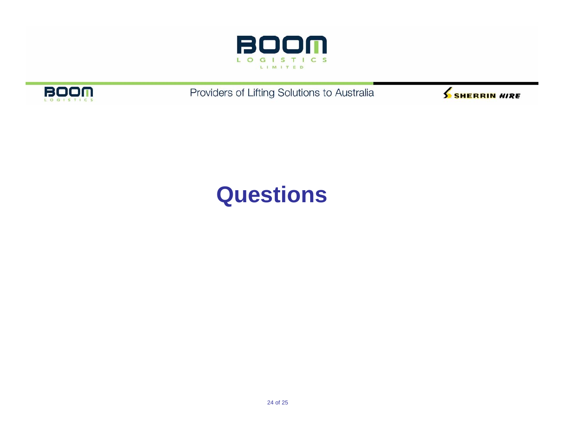



Providers of Lifting Solutions to Australia



# **Questions**